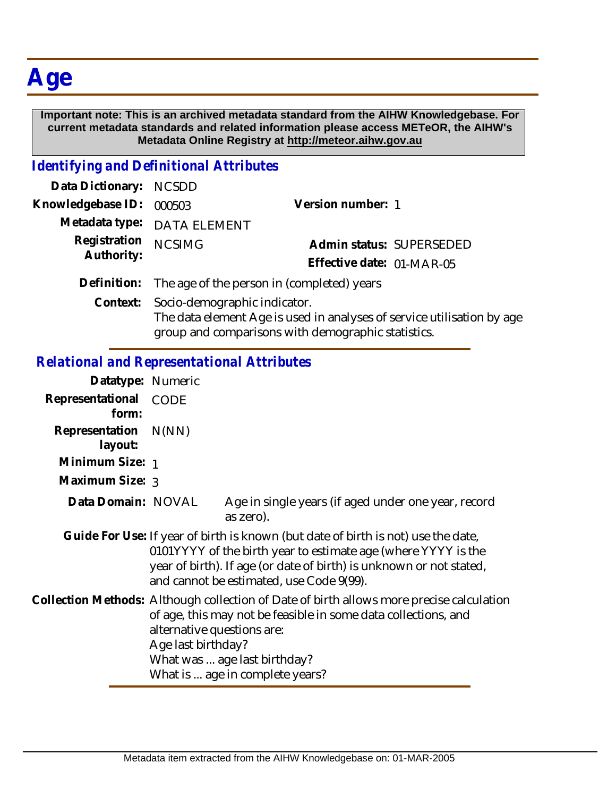# **Age**

#### **Important note: This is an archived metadata standard from the AIHW Knowledgebase. For current metadata standards and related information please access METeOR, the AIHW's Metadata Online Registry at http://meteor.aihw.gov.au**

### *Identifying and Definitional Attributes*

| Data Dictionary: NCSDD     |                                                                                                                              |                           |  |
|----------------------------|------------------------------------------------------------------------------------------------------------------------------|---------------------------|--|
| Knowledgebase ID:          | 000503                                                                                                                       | Version number: 1         |  |
|                            | Metadata type: DATA ELEMENT                                                                                                  |                           |  |
| Registration<br>Authority: | <b>NCSIMG</b>                                                                                                                | Admin status: SUPERSEDED  |  |
|                            |                                                                                                                              | Effective date: 01-MAR-05 |  |
| Definition:                | The age of the person in (completed) years                                                                                   |                           |  |
| Context:                   | Socio-demographic indicator.                                                                                                 |                           |  |
|                            | The data element Age is used in analyses of service utilisation by age<br>group and comparisons with demographic statistics. |                           |  |

## *Relational and Representational Attributes*

| Datatype: Numeric         |                                                                                                                                                                                                                                                                                   |                                                                  |
|---------------------------|-----------------------------------------------------------------------------------------------------------------------------------------------------------------------------------------------------------------------------------------------------------------------------------|------------------------------------------------------------------|
| Representational<br>form: | CODE                                                                                                                                                                                                                                                                              |                                                                  |
| Representation<br>layout: | N(NN)                                                                                                                                                                                                                                                                             |                                                                  |
| Minimum Size: 1           |                                                                                                                                                                                                                                                                                   |                                                                  |
| Maximum Size: 3           |                                                                                                                                                                                                                                                                                   |                                                                  |
| Data Domain: NOVAL        |                                                                                                                                                                                                                                                                                   | Age in single years (if aged under one year, record<br>as zero). |
|                           | Guide For Use: If year of birth is known (but date of birth is not) use the date,<br>0101YYYY of the birth year to estimate age (where YYYY is the<br>year of birth). If age (or date of birth) is unknown or not stated,<br>and cannot be estimated, use Code 9(99).             |                                                                  |
|                           | Collection Methods: Although collection of Date of birth allows more precise calculation<br>of age, this may not be feasible in some data collections, and<br>alternative questions are:<br>Age last birthday?<br>What was  age last birthday?<br>What is  age in complete years? |                                                                  |